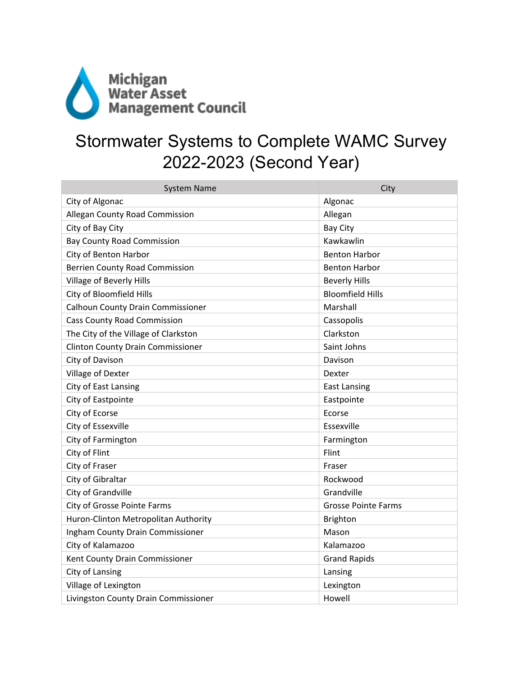

## Stormwater Systems to Complete WAMC Survey 2022-2023 (Second Year)

| <b>System Name</b>                       | City                       |
|------------------------------------------|----------------------------|
| City of Algonac                          | Algonac                    |
| Allegan County Road Commission           | Allegan                    |
| City of Bay City                         | <b>Bay City</b>            |
| <b>Bay County Road Commission</b>        | Kawkawlin                  |
| City of Benton Harbor                    | <b>Benton Harbor</b>       |
| <b>Berrien County Road Commission</b>    | <b>Benton Harbor</b>       |
| <b>Village of Beverly Hills</b>          | <b>Beverly Hills</b>       |
| City of Bloomfield Hills                 | <b>Bloomfield Hills</b>    |
| <b>Calhoun County Drain Commissioner</b> | Marshall                   |
| <b>Cass County Road Commission</b>       | Cassopolis                 |
| The City of the Village of Clarkston     | Clarkston                  |
| <b>Clinton County Drain Commissioner</b> | Saint Johns                |
| City of Davison                          | Davison                    |
| Village of Dexter                        | Dexter                     |
| City of East Lansing                     | <b>East Lansing</b>        |
| City of Eastpointe                       | Eastpointe                 |
| City of Ecorse                           | Ecorse                     |
| City of Essexville                       | Essexville                 |
| City of Farmington                       | Farmington                 |
| City of Flint                            | Flint                      |
| City of Fraser                           | Fraser                     |
| City of Gibraltar                        | Rockwood                   |
| City of Grandville                       | Grandville                 |
| City of Grosse Pointe Farms              | <b>Grosse Pointe Farms</b> |
| Huron-Clinton Metropolitan Authority     | <b>Brighton</b>            |
| Ingham County Drain Commissioner         | Mason                      |
| City of Kalamazoo                        | Kalamazoo                  |
| Kent County Drain Commissioner           | <b>Grand Rapids</b>        |
| City of Lansing                          | Lansing                    |
| Village of Lexington                     | Lexington                  |
| Livingston County Drain Commissioner     | Howell                     |